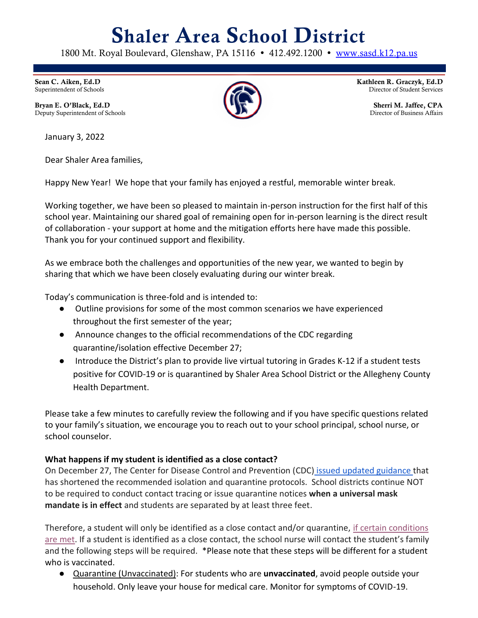# **Shaler Area School District**

1800 Mt. Royal Boulevard, Glenshaw, PA 15116 • 412.492.1200 • [www.sasd.k12.pa.us](http://www.sasd.k12.pa.us/)

**Sean C. Aiken, Ed.D** Superintendent of Schools

**Bryan E. O'Black, Ed.D** Deputy Superintendent of Schools

January 3, 2022

Dear Shaler Area families,

Happy New Year! We hope that your family has enjoyed a restful, memorable winter break.

Working together, we have been so pleased to maintain in-person instruction for the first half of this school year. Maintaining our shared goal of remaining open for in-person learning is the direct result of collaboration - your support at home and the mitigation efforts here have made this possible. Thank you for your continued support and flexibility.

As we embrace both the challenges and opportunities of the new year, we wanted to begin by sharing that which we have been closely evaluating during our winter break.

Today's communication is three-fold and is intended to:

- Outline provisions for some of the most common scenarios we have experienced throughout the first semester of the year;
- Announce changes to the official recommendations of the CDC regarding quarantine/isolation effective December 27;
- Introduce the District's plan to provide live virtual tutoring in Grades K-12 if a student tests positive for COVID-19 or is quarantined by Shaler Area School District or the Allegheny County Health Department.

Please take a few minutes to carefully review the following and if you have specific questions related to your family's situation, we encourage you to reach out to your school principal, school nurse, or school counselor.

## **What happens if my student is identified as a close contact?**

On December 27, The Center for Disease Control and Prevention (CDC) [issued updated guidance t](https://www.cdc.gov/media/releases/2021/s1227-isolation-quarantine-guidance.html)hat has shortened the recommended isolation and quarantine protocols. School districts continue NOT to be required to conduct contact tracing or issue quarantine notices **when a universal mask mandate is in effect** and students are separated by at least three feet.

Therefore, a student will only be identified as a close contact and/or quarantine, [if certain conditions](https://www.sasd.k12.pa.us/Downloads/Covid-19QTGuidanceFlowchart3.pdf)  [are met.](https://www.sasd.k12.pa.us/Downloads/Covid-19QTGuidanceFlowchart3.pdf) If a student is identified as a close contact, the school nurse will contact the student's family and the following steps will be required. \*Please note that these steps will be different for a student who is vaccinated.

● Quarantine (Unvaccinated): For students who are **unvaccinated**, avoid people outside your household. Only leave your house for medical care. Monitor for symptoms of COVID-19.



**Kathleen R. Graczyk, Ed.D** Director of Student Services

> **Sherri M. Jaffee, CPA** Director of Business Affairs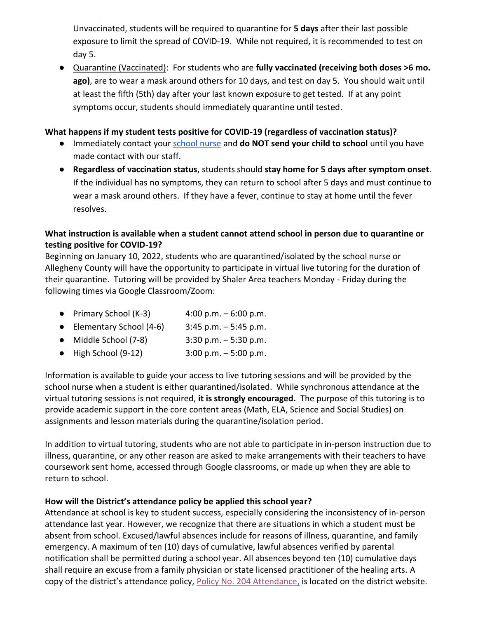Unvaccinated, students will be required to quarantine for **5 days** after their last possible exposure to limit the spread of COVID-19. While not required, it is recommended to test on day 5.

● Quarantine (Vaccinated): For students who are **fully vaccinated (receiving both doses >6 mo. ago)**, are to wear a mask around others for 10 days, and test on day 5. You should wait until at least the fifth (5th) day after your last known exposure to get tested. If at any point symptoms occur, students should immediately quarantine until tested.

## **What happens if my student tests positive for COVID-19 (regardless of vaccination status)?**

- Immediately contact your [school nurse](https://www.sasd.k12.pa.us/healthoffice3284.aspx) and **do NOT send your child to school** until you have made contact with our staff.
- **Regardless of vaccination status**, students should **stay home for 5 days after symptom onset**. If the individual has no symptoms, they can return to school after 5 days and must continue to wear a mask around others. If they have a fever, continue to stay at home until the fever resolves.

## **What instruction is available when a student cannot attend school in person due to quarantine or testing positive for COVID-19?**

Beginning on January 10, 2022, students who are quarantined/isolated by the school nurse or Allegheny County will have the opportunity to participate in virtual live tutoring for the duration of their quarantine. Tutoring will be provided by Shaler Area teachers Monday - Friday during the following times via Google Classroom/Zoom:

- Primary School  $(K-3)$  4:00 p.m.  $-6:00$  p.m.
- Elementary School  $(4-6)$  3:45 p.m.  $-$  5:45 p.m.
- Middle School  $(7-8)$  3:30 p.m.  $-5:30$  p.m.
- High School  $(9-12)$  3:00 p.m.  $-5:00$  p.m.

Information is available to guide your access to live tutoring sessions and will be provided by the school nurse when a student is either quarantined/isolated. While synchronous attendance at the virtual tutoring sessions is not required, **it is strongly encouraged.** The purpose of this tutoring is to provide academic support in the core content areas (Math, ELA, Science and Social Studies) on assignments and lesson materials during the quarantine/isolation period.

In addition to virtual tutoring, students who are not able to participate in in-person instruction due to illness, quarantine, or any other reason are asked to make arrangements with their teachers to have coursework sent home, accessed through Google classrooms, or made up when they are able to return to school.

#### **How will the District's attendance policy be applied this school year?**

Attendance at school is key to student success, especially considering the inconsistency of in-person attendance last year. However, we recognize that there are situations in which a student must be absent from school. Excused/lawful absences include for reasons of illness, quarantine, and family emergency. A maximum of ten (10) days of cumulative, lawful absences verified by parental notification shall be permitted during a school year. All absences beyond ten (10) cumulative days shall require an excuse from a family physician or state licensed practitioner of the healing arts. A copy of the district's attendance policy, [Policy No. 204 Attendance,](https://filecabinet.eschoolview.com/07F980D7-394E-4A26-A2CA-2FD6EE8D197E/204.pdf) is located on the district website.